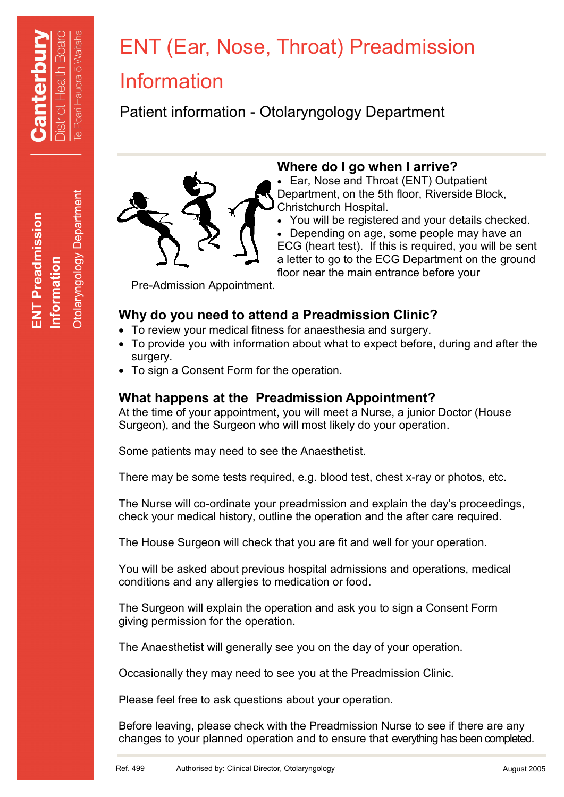**ENT Preadmission**

**ENT Preadmission** 

**Information**

Otolaryngology Department

**Otolaryngology Department** 

# ENT (Ear, Nose, Throat) Preadmission

# Information

Patient information - Otolaryngology Department



# **Where do I go when I arrive?**

 Ear, Nose and Throat (ENT) Outpatient Department, on the 5th floor, Riverside Block, Christchurch Hospital.

 You will be registered and your details checked. Depending on age, some people may have an ECG (heart test). If this is required, you will be sent a letter to go to the ECG Department on the ground floor near the main entrance before your

Pre-Admission Appointment.

# **Why do you need to attend a Preadmission Clinic?**

- To review your medical fitness for anaesthesia and surgery.
- To provide you with information about what to expect before, during and after the surgery.
- To sign a Consent Form for the operation.

# **What happens at the Preadmission Appointment?**

At the time of your appointment, you will meet a Nurse, a junior Doctor (House Surgeon), and the Surgeon who will most likely do your operation.

Some patients may need to see the Anaesthetist.

There may be some tests required, e.g. blood test, chest x-ray or photos, etc.

The Nurse will co-ordinate your preadmission and explain the day's proceedings, check your medical history, outline the operation and the after care required.

The House Surgeon will check that you are fit and well for your operation.

You will be asked about previous hospital admissions and operations, medical conditions and any allergies to medication or food.

The Surgeon will explain the operation and ask you to sign a Consent Form giving permission for the operation.

The Anaesthetist will generally see you on the day of your operation.

Occasionally they may need to see you at the Preadmission Clinic.

Please feel free to ask questions about your operation.

Before leaving, please check with the Preadmission Nurse to see if there are any changes to your planned operation and to ensure that everything has been completed.